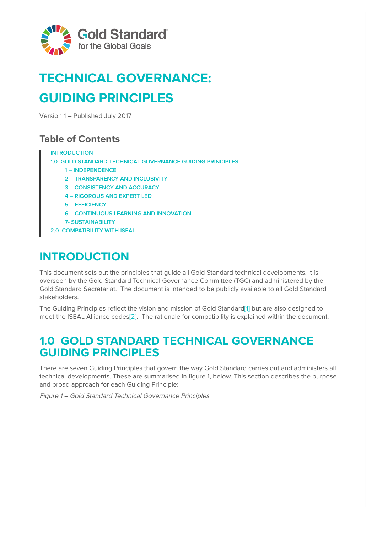

# **TECHNICAL GOVERNANCE: GUIDING PRINCIPLES**

Version 1 – Published July 2017

### **Table of Contents**

#### **INTRODUCTION**

**1.0 GOLD STANDARD TECHNICAL GOVERNANCE GUIDING PRINCIPLES**

- **1 INDEPENDENCE**
- **2 TRANSPARENCY AND INCLUSIVITY**
- **3 CONSISTENCY AND ACCURACY**
- **4 RIGOROUS AND EXPERT LED**
- **5 EFFICIENCY**
- **6 CONTINUOUS LEARNING AND INNOVATION**
- **7- SUSTAINABILITY**
- **2.0 COMPATIBILITY WITH ISEAL**

## **INTRODUCTION**

This document sets out the principles that guide all Gold Standard technical developments. It is overseen by the Gold Standard Technical Governance Committee (TGC) and administered by the Gold Standard Secretariat. The document is intended to be publicly available to all Gold Standard stakeholders.

The Guiding Principles reflect the vision and mission of Gold Standar[d\[1\]](#page-5-0) but are also designed to meet the ISEAL Alliance codes<sup>[2]</sup>. The rationale for compatibility is explained within the document.

## **1.0 GOLD STANDARD TECHNICAL GOVERNANCE GUIDING PRINCIPLES**

There are seven Guiding Principles that govern the way Gold Standard carries out and administers all technical developments. These are summarised in figure 1, below. This section describes the purpose and broad approach for each Guiding Principle:

Figure 1 – Gold Standard Technical Governance Principles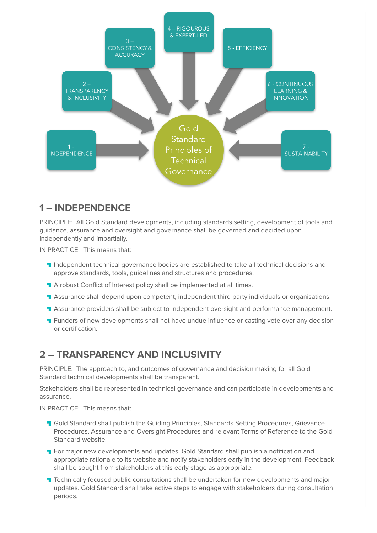

### **1 – INDEPENDENCE**

PRINCIPLE: All Gold Standard developments, including standards setting, development of tools and guidance, assurance and oversight and governance shall be governed and decided upon independently and impartially.

IN PRACTICE: This means that:

- **Independent technical governance bodies are established to take all technical decisions and** approve standards, tools, guidelines and structures and procedures.
- A robust Conflict of Interest policy shall be implemented at all times.
- **T** Assurance shall depend upon competent, independent third party individuals or organisations.
- **T** Assurance providers shall be subject to independent oversight and performance management.
- **T** Funders of new developments shall not have undue influence or casting vote over any decision or certification.

### **2 – TRANSPARENCY AND INCLUSIVITY**

PRINCIPLE: The approach to, and outcomes of governance and decision making for all Gold Standard technical developments shall be transparent.

Stakeholders shall be represented in technical governance and can participate in developments and assurance.

IN PRACTICE: This means that:

- **T** Gold Standard shall publish the Guiding Principles, Standards Setting Procedures, Grievance Procedures, Assurance and Oversight Procedures and relevant Terms of Reference to the Gold Standard website.
- **T** For major new developments and updates, Gold Standard shall publish a notification and appropriate rationale to its website and notify stakeholders early in the development. Feedback shall be sought from stakeholders at this early stage as appropriate.
- **T** Technically focused public consultations shall be undertaken for new developments and major updates. Gold Standard shall take active steps to engage with stakeholders during consultation periods.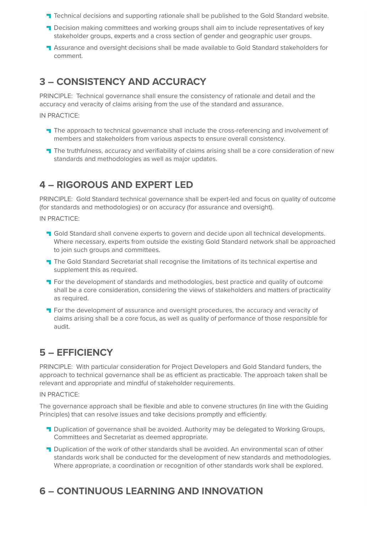- **T** Technical decisions and supporting rationale shall be published to the Gold Standard website.
- **T** Decision making committees and working groups shall aim to include representatives of key stakeholder groups, experts and a cross section of gender and geographic user groups.
- **T** Assurance and oversight decisions shall be made available to Gold Standard stakeholders for comment.

### **3 – CONSISTENCY AND ACCURACY**

PRINCIPLE: Technical governance shall ensure the consistency of rationale and detail and the accuracy and veracity of claims arising from the use of the standard and assurance.

IN PRACTICE:

- **T** The approach to technical governance shall include the cross-referencing and involvement of members and stakeholders from various aspects to ensure overall consistency.
- **T** The truthfulness, accuracy and verifiability of claims arising shall be a core consideration of new standards and methodologies as well as major updates.

### **4 – RIGOROUS AND EXPERT LED**

PRINCIPLE: Gold Standard technical governance shall be expert-led and focus on quality of outcome (for standards and methodologies) or on accuracy (for assurance and oversight).

IN PRACTICE:

- **Gold Standard shall convene experts to govern and decide upon all technical developments.** Where necessary, experts from outside the existing Gold Standard network shall be approached to join such groups and committees.
- The Gold Standard Secretariat shall recognise the limitations of its technical expertise and supplement this as required.
- **T** For the development of standards and methodologies, best practice and quality of outcome shall be a core consideration, considering the views of stakeholders and matters of practicality as required.
- **T** For the development of assurance and oversight procedures, the accuracy and veracity of claims arising shall be a core focus, as well as quality of performance of those responsible for audit.

### **5 – EFFICIENCY**

PRINCIPLE: With particular consideration for Project Developers and Gold Standard funders, the approach to technical governance shall be as efficient as practicable. The approach taken shall be relevant and appropriate and mindful of stakeholder requirements.

IN PRACTICE:

The governance approach shall be flexible and able to convene structures (in line with the Guiding Principles) that can resolve issues and take decisions promptly and efficiently.

- **Duplication of governance shall be avoided. Authority may be delegated to Working Groups,** Committees and Secretariat as deemed appropriate.
- **T** Duplication of the work of other standards shall be avoided. An environmental scan of other standards work shall be conducted for the development of new standards and methodologies. Where appropriate, a coordination or recognition of other standards work shall be explored.

### **6 – CONTINUOUS LEARNING AND INNOVATION**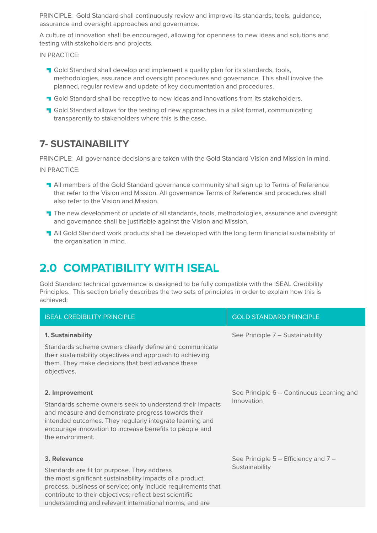PRINCIPLE: Gold Standard shall continuously review and improve its standards, tools, guidance, assurance and oversight approaches and governance.

A culture of innovation shall be encouraged, allowing for openness to new ideas and solutions and testing with stakeholders and projects.

IN PRACTICE:

- **T** Gold Standard shall develop and implement a quality plan for its standards, tools, methodologies, assurance and oversight procedures and governance. This shall involve the planned, regular review and update of key documentation and procedures.
- **T** Gold Standard shall be receptive to new ideas and innovations from its stakeholders.
- **T** Gold Standard allows for the testing of new approaches in a pilot format, communicating transparently to stakeholders where this is the case.

### **7- SUSTAINABILITY**

PRINCIPLE: All governance decisions are taken with the Gold Standard Vision and Mission in mind.

IN PRACTICE:

- All members of the Gold Standard governance community shall sign up to Terms of Reference that refer to the Vision and Mission. All governance Terms of Reference and procedures shall also refer to the Vision and Mission.
- **T** The new development or update of all standards, tools, methodologies, assurance and oversight and governance shall be justifiable against the Vision and Mission.
- **T** All Gold Standard work products shall be developed with the long term financial sustainability of the organisation in mind.

## **2.0 COMPATIBILITY WITH ISEAL**

Gold Standard technical governance is designed to be fully compatible with the ISEAL Credibility Principles. This section briefly describes the two sets of principles in order to explain how this is achieved:

| <b>ISEAL CREDIBILITY PRINCIPLE</b>                                                                                                                                                                                                                                                                             | <b>GOLD STANDARD PRINCIPLE</b>                          |
|----------------------------------------------------------------------------------------------------------------------------------------------------------------------------------------------------------------------------------------------------------------------------------------------------------------|---------------------------------------------------------|
| 1. Sustainability<br>Standards scheme owners clearly define and communicate<br>their sustainability objectives and approach to achieving<br>them. They make decisions that best advance these<br>objectives.                                                                                                   | See Principle 7 - Sustainability                        |
| 2. Improvement<br>Standards scheme owners seek to understand their impacts<br>and measure and demonstrate progress towards their<br>intended outcomes. They regularly integrate learning and<br>encourage innovation to increase benefits to people and<br>the environment.                                    | See Principle 6 – Continuous Learning and<br>Innovation |
| 3. Relevance<br>Standards are fit for purpose. They address<br>the most significant sustainability impacts of a product,<br>process, business or service; only include requirements that<br>contribute to their objectives; reflect best scientific<br>understanding and relevant international norms; and are | See Principle 5 – Efficiency and 7 –<br>Sustainability  |
|                                                                                                                                                                                                                                                                                                                |                                                         |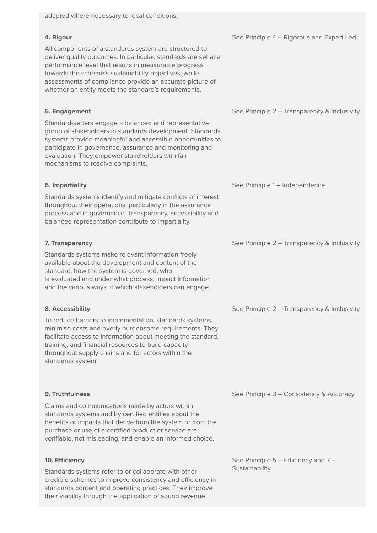#### **4. Rigour**

All components of a standards system are structured to deliver quality outcomes. In particular, standards are set at a performance level that results in measurable progress towards the scheme's sustainability objectives, while assessments of compliance provide an accurate picture of whether an entity meets the standard's requirements.

#### **5. Engagement**

Standard-setters engage a balanced and representative group of stakeholders in standards development. Standards systems provide meaningful and accessible opportunities to participate in governance, assurance and monitoring and evaluation. They empower stakeholders with fair mechanisms to resolve complaints.

#### **6. Impartiality**

Standards systems identify and mitigate conflicts of interest throughout their operations, particularly in the assurance process and in governance. Transparency, accessibility and balanced representation contribute to impartiality.

#### **7. Transparency**

Standards systems make relevant information freely available about the development and content of the standard, how the system is governed, who is evaluated and under what process, impact information and the various ways in which stakeholders can engage.

#### **8. Accessibility**

To reduce barriers to implementation, standards systems minimise costs and overly burdensome requirements. They facilitate access to information about meeting the standard, training, and financial resources to build capacity throughout supply chains and for actors within the standards system.

#### **9. Truthfulness**

Claims and communications made by actors within standards systems and by certified entities about the benefits or impacts that derive from the system or from the purchase or use of a certified product or service are verifiable, not misleading, and enable an informed choice.

#### **10. Efficiency**

Standards systems refer to or collaborate with other credible schemes to improve consistency and efficiency in standards content and operating practices. They improve their viability through the application of sound revenue

See Principle 4 – Rigorous and Expert Led

See Principle 2 – Transparency & Inclusivity

See Principle 1 – Independence

See Principle 2 – Transparency & Inclusivity

See Principle 2 – Transparency & Inclusivity

See Principle 3 – Consistency & Accuracy

See Principle 5 – Efficiency and 7 – **Sustainability**